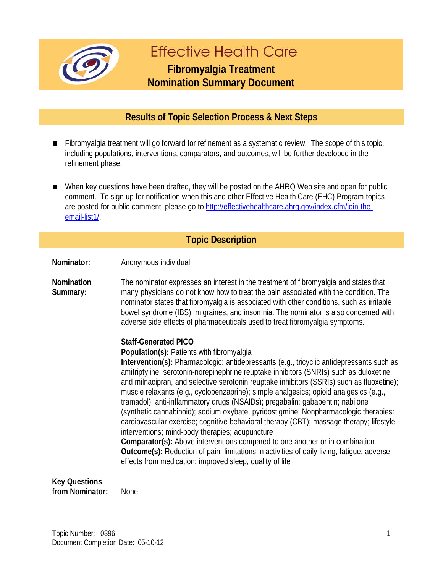

# **Fffective Health Care**

## **Fibromyalgia Treatment Nomination Summary Document**

### **Results of Topic Selection Process & Next Steps**

- Fibromyalgia treatment will go forward for refinement as a systematic review. The scope of this topic, including populations, interventions, comparators, and outcomes, will be further developed in the refinement phase.
- When key questions have been drafted, they will be posted on the AHRQ Web site and open for public comment. To sign up for notification when this and other Effective Health Care (EHC) Program topics are posted for public comment, please go to [http://effectivehealthcare.ahrq.gov/index.cfm/join-the](http://effectivehealthcare.ahrq.gov/index.cfm/join-the-email-list1/)[email-list1/.](http://effectivehealthcare.ahrq.gov/index.cfm/join-the-email-list1/)

#### **Topic Description**

**Nominator:** Anonymous individual

**Nomination Summary:** The nominator expresses an interest in the treatment of fibromyalgia and states that many physicians do not know how to treat the pain associated with the condition. The nominator states that fibromyalgia is associated with other conditions, such as irritable bowel syndrome (IBS), migraines, and insomnia. The nominator is also concerned with adverse side effects of pharmaceuticals used to treat fibromyalgia symptoms.

#### **Staff-Generated PICO**

**Population(s):** Patients with fibromyalgia

**Intervention(s):** Pharmacologic: antidepressants (e.g., tricyclic antidepressants such as amitriptyline, serotonin-norepinephrine reuptake inhibitors (SNRIs) such as duloxetine and milnacipran, and selective serotonin reuptake inhibitors (SSRIs) such as fluoxetine); muscle relaxants (e.g., cyclobenzaprine); simple analgesics; opioid analgesics (e.g., tramadol); anti-inflammatory drugs (NSAIDs); pregabalin; gabapentin; nabilone (synthetic cannabinoid); sodium oxybate; pyridostigmine. Nonpharmacologic therapies: cardiovascular exercise; cognitive behavioral therapy (CBT); massage therapy; lifestyle interventions; mind-body therapies; acupuncture

**Comparator(s):** Above interventions compared to one another or in combination **Outcome(s):** Reduction of pain, limitations in activities of daily living, fatigue, adverse effects from medication; improved sleep, quality of life

**Key Questions** 

**from Nominator:** None